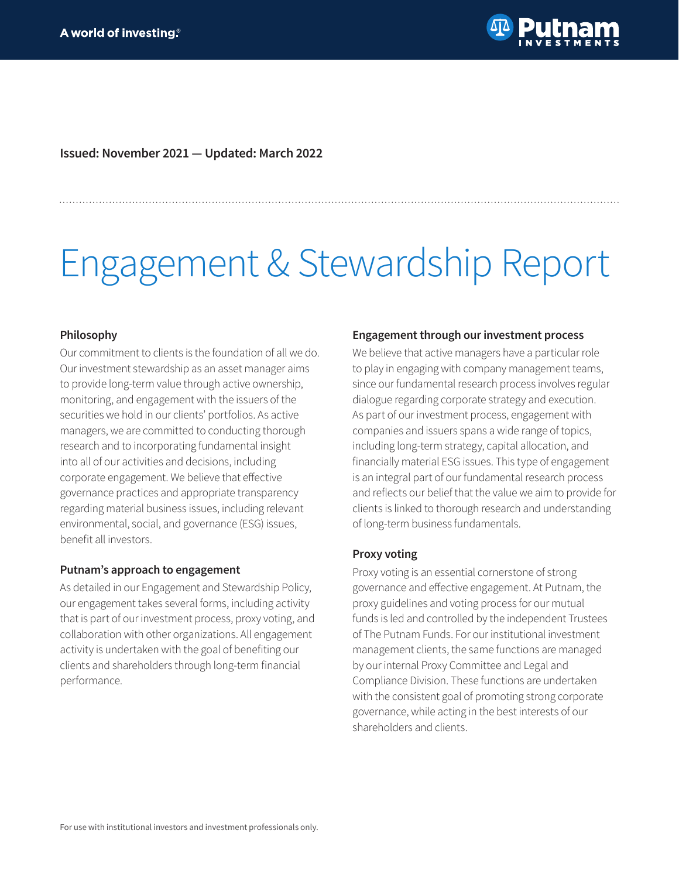

**Issued: November 2021 — Updated: March 2022**

# Engagement & Stewardship Report

#### **Philosophy**

Our commitment to clients is the foundation of all we do. Our investment stewardship as an asset manager aims to provide long-term value through active ownership, monitoring, and engagement with the issuers of the securities we hold in our clients' portfolios. As active managers, we are committed to conducting thorough research and to incorporating fundamental insight into all of our activities and decisions, including corporate engagement. We believe that effective governance practices and appropriate transparency regarding material business issues, including relevant environmental, social, and governance (ESG) issues, benefit all investors.

#### **Putnam's approach to engagement**

As detailed in our Engagement and Stewardship Policy, our engagement takes several forms, including activity that is part of our investment process, proxy voting, and collaboration with other organizations. All engagement activity is undertaken with the goal of benefiting our clients and shareholders through long-term financial performance.

#### **Engagement through our investment process**

We believe that active managers have a particular role to play in engaging with company management teams, since our fundamental research process involves regular dialogue regarding corporate strategy and execution. As part of our investment process, engagement with companies and issuers spans a wide range of topics, including long-term strategy, capital allocation, and financially material ESG issues. This type of engagement is an integral part of our fundamental research process and reflects our belief that the value we aim to provide for clients is linked to thorough research and understanding of long-term business fundamentals.

#### **Proxy voting**

Proxy voting is an essential cornerstone of strong governance and effective engagement. At Putnam, the proxy guidelines and voting process for our mutual funds is led and controlled by the independent Trustees of The Putnam Funds. For our institutional investment management clients, the same functions are managed by our internal Proxy Committee and Legal and Compliance Division. These functions are undertaken with the consistent goal of promoting strong corporate governance, while acting in the best interests of our shareholders and clients.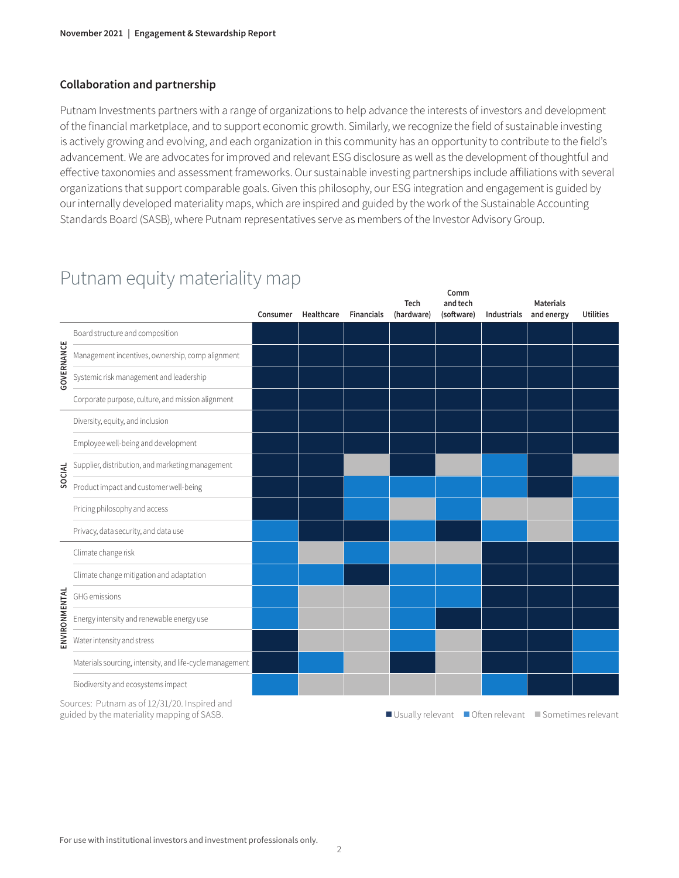#### **Collaboration and partnership**

Putnam Investments partners with a range of organizations to help advance the interests of investors and development of the financial marketplace, and to support economic growth. Similarly, we recognize the field of sustainable investing is actively growing and evolving, and each organization in this community has an opportunity to contribute to the field's advancement. We are advocates for improved and relevant ESG disclosure as well as the development of thoughtful and effective taxonomies and assessment frameworks. Our sustainable investing partnerships include affiliations with several organizations that support comparable goals. Given this philosophy, our ESG integration and engagement is guided by our internally developed materiality maps, which are inspired and guided by the work of the Sustainable Accounting Standards Board (SASB), where Putnam representatives serve as members of the Investor Advisory Group.

#### **Comm and tech Tech Materials (hardware)**  $(softmax)$ **and energy Utilities Consumer Healthcare Financials** Board structure and composition GOVERNANCE **GOVERNANCE** Management incentives, ownership, comp alignment Systemic risk management and leadership Corporate purpose, culture, and mission alignment Diversity, equity, and inclusion Employee well-being and development **SOCIAL** Supplier, distribution, and marketing management Product impact and customer well-being Pricing philosophy and access Privacy, data security, and data use Climate change risk Climate change mitigation and adaptation **ENVIRONMENTAL ENVIRONMENTAL** GHG emissions Energy intensity and renewable energy use Water intensity and stress Materials sourcing, intensity, and life-cycle management Biodiversity and ecosystems impact

# Putnam equity materiality map

Sources: Putnam as of 12/31/20. Inspired and

guided by the materiality mapping of SASB. The materiality mapping of SASB. The materiality mapping of SASB.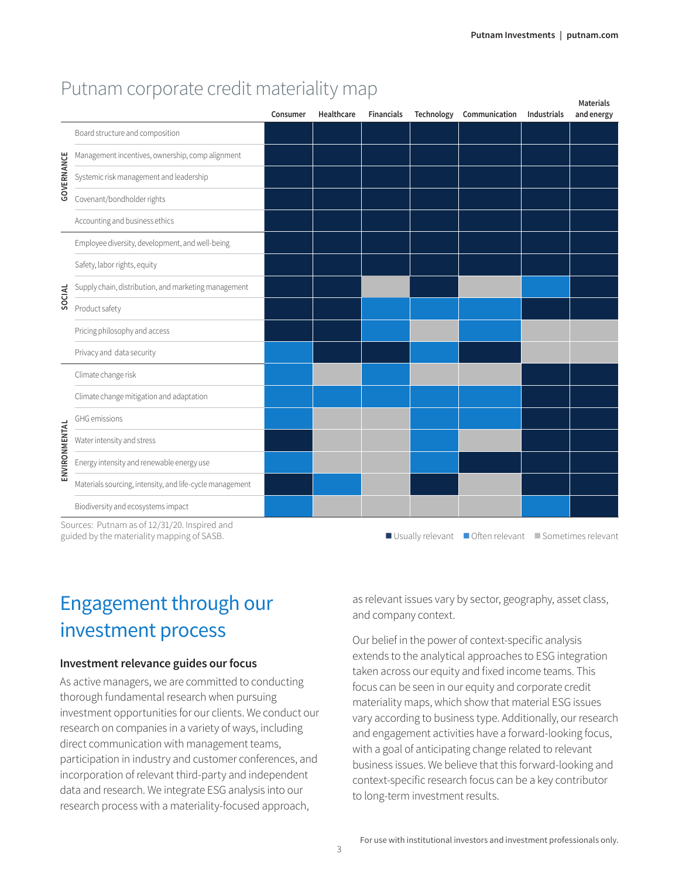|               |                                                          | Consumer | Healthcare | <b>Financials</b> | Technology | Communication | Industrials | Materials<br>and energy |  |  |
|---------------|----------------------------------------------------------|----------|------------|-------------------|------------|---------------|-------------|-------------------------|--|--|
| GOVERNANCE    | Board structure and composition                          |          |            |                   |            |               |             |                         |  |  |
|               | Management incentives, ownership, comp alignment         |          |            |                   |            |               |             |                         |  |  |
|               | Systemic risk management and leadership                  |          |            |                   |            |               |             |                         |  |  |
|               | Covenant/bondholder rights                               |          |            |                   |            |               |             |                         |  |  |
|               | Accounting and business ethics                           |          |            |                   |            |               |             |                         |  |  |
|               | Employee diversity, development, and well-being          |          |            |                   |            |               |             |                         |  |  |
|               | Safety, labor rights, equity                             |          |            |                   |            |               |             |                         |  |  |
| SOCIAL        | Supply chain, distribution, and marketing management     |          |            |                   |            |               |             |                         |  |  |
|               | Product safety                                           |          |            |                   |            |               |             |                         |  |  |
|               | Pricing philosophy and access                            |          |            |                   |            |               |             |                         |  |  |
|               | Privacy and data security                                |          |            |                   |            |               |             |                         |  |  |
|               | Climate change risk                                      |          |            |                   |            |               |             |                         |  |  |
|               | Climate change mitigation and adaptation                 |          |            |                   |            |               |             |                         |  |  |
| ENVIRONMENTAL | GHG emissions                                            |          |            |                   |            |               |             |                         |  |  |
|               | Water intensity and stress                               |          |            |                   |            |               |             |                         |  |  |
|               | Energy intensity and renewable energy use                |          |            |                   |            |               |             |                         |  |  |
|               | Materials sourcing, intensity, and life-cycle management |          |            |                   |            |               |             |                         |  |  |
|               | Biodiversity and ecosystems impact                       |          |            |                   |            |               |             |                         |  |  |
|               | Sources: Putnam as of 12/31/20 Inspired and              |          |            |                   |            |               |             |                         |  |  |

### Putnam corporate credit materiality map

Sources: Putnam as of 12/31/20. Inspired and

# Engagement through our investment process

#### **Investment relevance guides our focus**

As active managers, we are committed to conducting thorough fundamental research when pursuing investment opportunities for our clients. We conduct our research on companies in a variety of ways, including direct communication with management teams, participation in industry and customer conferences, and incorporation of relevant third-party and independent data and research. We integrate ESG analysis into our research process with a materiality-focused approach,

as relevant issues vary by sector, geography, asset class, and company context.

Our belief in the power of context-specific analysis extends to the analytical approaches to ESG integration taken across our equity and fixed income teams. This focus can be seen in our equity and corporate credit materiality maps, which show that material ESG issues vary according to business type. Additionally, our research and engagement activities have a forward-looking focus, with a goal of anticipating change related to relevant business issues. We believe that this forward-looking and context-specific research focus can be a key contributor to long-term investment results.

guided by the materiality mapping of SASB. The materiality mapping of SASB. The materiality mapping of SASB.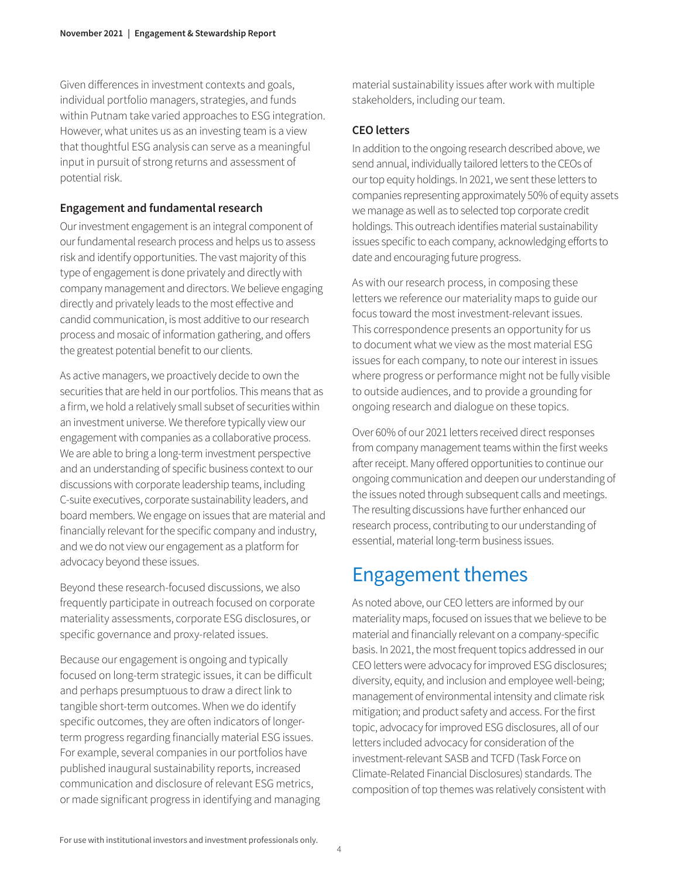Given differences in investment contexts and goals, individual portfolio managers, strategies, and funds within Putnam take varied approaches to ESG integration. However, what unites us as an investing team is a view that thoughtful ESG analysis can serve as a meaningful input in pursuit of strong returns and assessment of potential risk.

#### **Engagement and fundamental research**

Our investment engagement is an integral component of our fundamental research process and helps us to assess risk and identify opportunities. The vast majority of this type of engagement is done privately and directly with company management and directors. We believe engaging directly and privately leads to the most effective and candid communication, is most additive to our research process and mosaic of information gathering, and offers the greatest potential benefit to our clients.

As active managers, we proactively decide to own the securities that are held in our portfolios. This means that as a firm, we hold a relatively small subset of securities within an investment universe. We therefore typically view our engagement with companies as a collaborative process. We are able to bring a long-term investment perspective and an understanding of specific business context to our discussions with corporate leadership teams, including C-suite executives, corporate sustainability leaders, and board members. We engage on issues that are material and financially relevant for the specific company and industry, and we do not view our engagement as a platform for advocacy beyond these issues.

Beyond these research-focused discussions, we also frequently participate in outreach focused on corporate materiality assessments, corporate ESG disclosures, or specific governance and proxy-related issues.

Because our engagement is ongoing and typically focused on long-term strategic issues, it can be difficult and perhaps presumptuous to draw a direct link to tangible short-term outcomes. When we do identify specific outcomes, they are often indicators of longerterm progress regarding financially material ESG issues. For example, several companies in our portfolios have published inaugural sustainability reports, increased communication and disclosure of relevant ESG metrics, or made significant progress in identifying and managing material sustainability issues after work with multiple stakeholders, including our team.

#### **CEO letters**

In addition to the ongoing research described above, we send annual, individually tailored letters to the CEOs of our top equity holdings. In 2021, we sent these letters to companies representing approximately 50% of equity assets we manage as well as to selected top corporate credit holdings. This outreach identifies material sustainability issues specific to each company, acknowledging efforts to date and encouraging future progress.

As with our research process, in composing these letters we reference our materiality maps to guide our focus toward the most investment-relevant issues. This correspondence presents an opportunity for us to document what we view as the most material ESG issues for each company, to note our interest in issues where progress or performance might not be fully visible to outside audiences, and to provide a grounding for ongoing research and dialogue on these topics.

Over 60% of our 2021 letters received direct responses from company management teams within the first weeks after receipt. Many offered opportunities to continue our ongoing communication and deepen our understanding of the issues noted through subsequent calls and meetings. The resulting discussions have further enhanced our research process, contributing to our understanding of essential, material long-term business issues.

# Engagement themes

As noted above, our CEO letters are informed by our materiality maps, focused on issues that we believe to be material and financially relevant on a company-specific basis. In 2021, the most frequent topics addressed in our CEO letters were advocacy for improved ESG disclosures; diversity, equity, and inclusion and employee well-being; management of environmental intensity and climate risk mitigation; and product safety and access. For the first topic, advocacy for improved ESG disclosures, all of our letters included advocacy for consideration of the investment-relevant SASB and TCFD (Task Force on Climate-Related Financial Disclosures) standards. The composition of top themes was relatively consistent with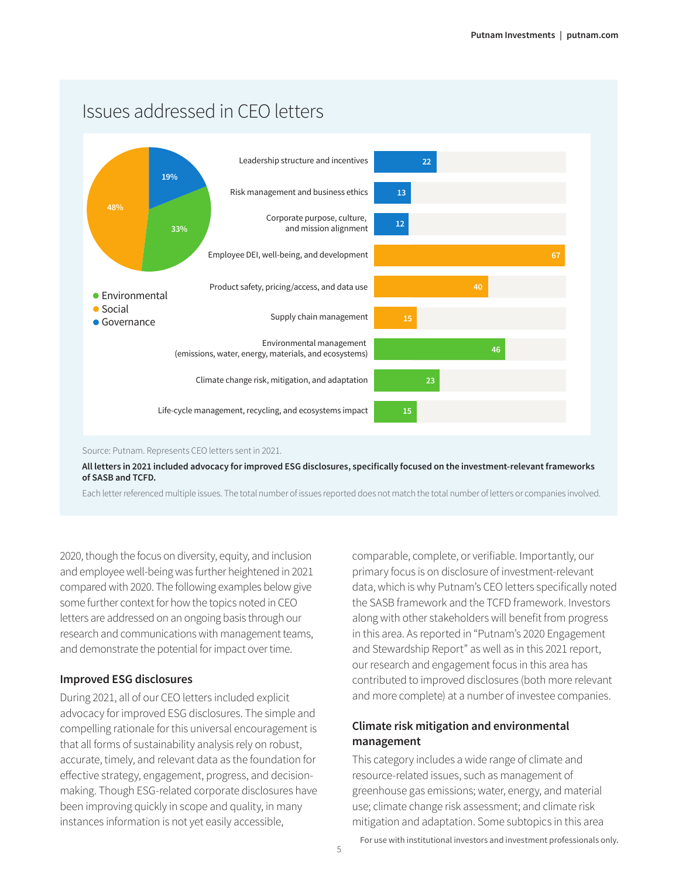### Issues addressed in CEO letters



2020, though the focus on diversity, equity, and inclusion and employee well-being was further heightened in 2021 compared with 2020. The following examples below give some further context for how the topics noted in CEO letters are addressed on an ongoing basis through our research and communications with management teams, and demonstrate the potential for impact over time.

#### **Improved ESG disclosures**

During 2021, all of our CEO letters included explicit advocacy for improved ESG disclosures. The simple and compelling rationale for this universal encouragement is that all forms of sustainability analysis rely on robust, accurate, timely, and relevant data as the foundation for effective strategy, engagement, progress, and decisionmaking. Though ESG-related corporate disclosures have been improving quickly in scope and quality, in many instances information is not yet easily accessible,

comparable, complete, or verifiable. Importantly, our primary focus is on disclosure of investment-relevant data, which is why Putnam's CEO letters specifically noted the SASB framework and the TCFD framework. Investors along with other stakeholders will benefit from progress in this area. As reported in "Putnam's 2020 Engagement and Stewardship Report" as well as in this 2021 report, our research and engagement focus in this area has contributed to improved disclosures (both more relevant and more complete) at a number of investee companies.

#### **Climate risk mitigation and environmental management**

This category includes a wide range of climate and resource-related issues, such as management of greenhouse gas emissions; water, energy, and material use; climate change risk assessment; and climate risk mitigation and adaptation. Some subtopics in this area

For use with institutional investors and investment professionals only.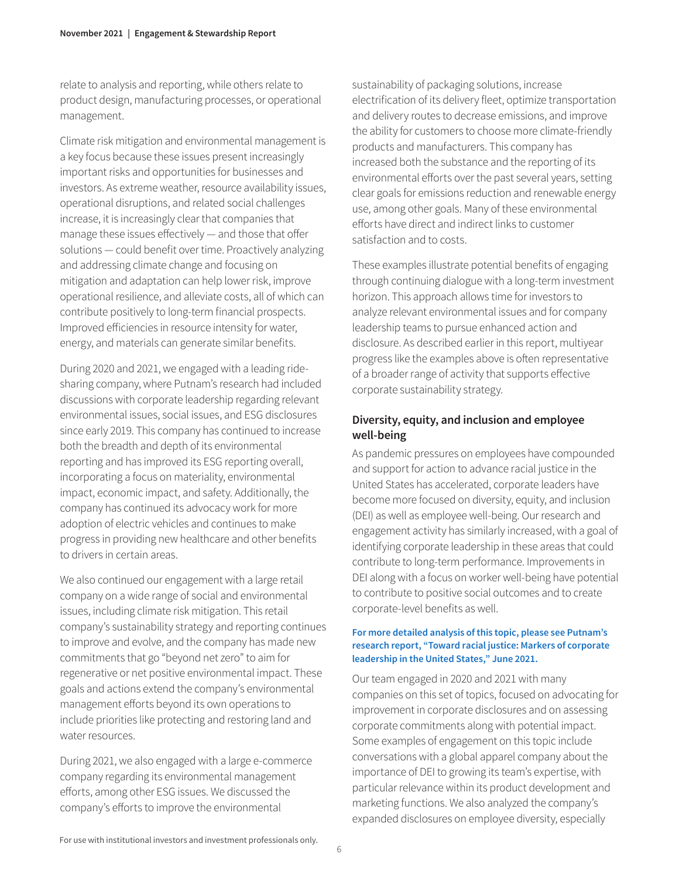relate to analysis and reporting, while others relate to product design, manufacturing processes, or operational management.

Climate risk mitigation and environmental management is a key focus because these issues present increasingly important risks and opportunities for businesses and investors. As extreme weather, resource availability issues, operational disruptions, and related social challenges increase, it is increasingly clear that companies that manage these issues effectively — and those that offer solutions — could benefit over time. Proactively analyzing and addressing climate change and focusing on mitigation and adaptation can help lower risk, improve operational resilience, and alleviate costs, all of which can contribute positively to long-term financial prospects. Improved efficiencies in resource intensity for water, energy, and materials can generate similar benefits.

During 2020 and 2021, we engaged with a leading ridesharing company, where Putnam's research had included discussions with corporate leadership regarding relevant environmental issues, social issues, and ESG disclosures since early 2019. This company has continued to increase both the breadth and depth of its environmental reporting and has improved its ESG reporting overall, incorporating a focus on materiality, environmental impact, economic impact, and safety. Additionally, the company has continued its advocacy work for more adoption of electric vehicles and continues to make progress in providing new healthcare and other benefits to drivers in certain areas.

We also continued our engagement with a large retail company on a wide range of social and environmental issues, including climate risk mitigation. This retail company's sustainability strategy and reporting continues to improve and evolve, and the company has made new commitments that go "beyond net zero" to aim for regenerative or net positive environmental impact. These goals and actions extend the company's environmental management efforts beyond its own operations to include priorities like protecting and restoring land and water resources.

During 2021, we also engaged with a large e-commerce company regarding its environmental management efforts, among other ESG issues. We discussed the company's efforts to improve the environmental

sustainability of packaging solutions, increase electrification of its delivery fleet, optimize transportation and delivery routes to decrease emissions, and improve the ability for customers to choose more climate-friendly products and manufacturers. This company has increased both the substance and the reporting of its environmental efforts over the past several years, setting clear goals for emissions reduction and renewable energy use, among other goals. Many of these environmental efforts have direct and indirect links to customer satisfaction and to costs.

These examples illustrate potential benefits of engaging through continuing dialogue with a long-term investment horizon. This approach allows time for investors to analyze relevant environmental issues and for company leadership teams to pursue enhanced action and disclosure. As described earlier in this report, multiyear progress like the examples above is often representative of a broader range of activity that supports effective corporate sustainability strategy.

#### **Diversity, equity, and inclusion and employee well-being**

As pandemic pressures on employees have compounded and support for action to advance racial justice in the United States has accelerated, corporate leaders have become more focused on diversity, equity, and inclusion (DEI) as well as employee well-being. Our research and engagement activity has similarly increased, with a goal of identifying corporate leadership in these areas that could contribute to long-term performance. Improvements in DEI along with a focus on worker well-being have potential to contribute to positive social outcomes and to create corporate-level benefits as well.

#### **For more detailed analysis of this topic, please see Putnam's research report, "Toward racial justice: Markers of corporate leadership in the United States," June 2021.**

Our team engaged in 2020 and 2021 with many companies on this set of topics, focused on advocating for improvement in corporate disclosures and on assessing corporate commitments along with potential impact. Some examples of engagement on this topic include conversations with a global apparel company about the importance of DEI to growing its team's expertise, with particular relevance within its product development and marketing functions. We also analyzed the company's expanded disclosures on employee diversity, especially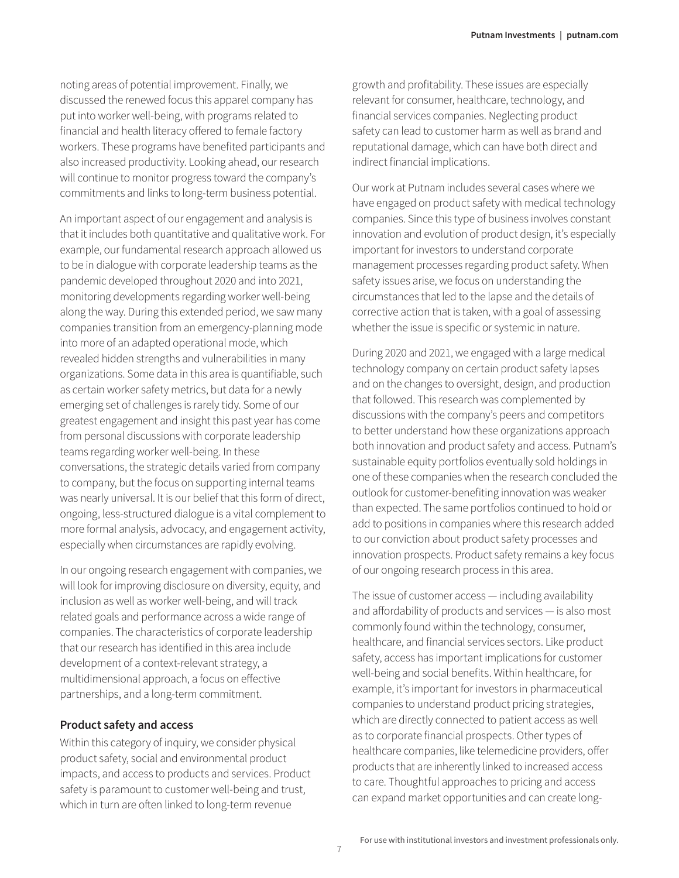noting areas of potential improvement. Finally, we discussed the renewed focus this apparel company has put into worker well-being, with programs related to financial and health literacy offered to female factory workers. These programs have benefited participants and also increased productivity. Looking ahead, our research will continue to monitor progress toward the company's commitments and links to long-term business potential.

An important aspect of our engagement and analysis is that it includes both quantitative and qualitative work. For example, our fundamental research approach allowed us to be in dialogue with corporate leadership teams as the pandemic developed throughout 2020 and into 2021, monitoring developments regarding worker well-being along the way. During this extended period, we saw many companies transition from an emergency-planning mode into more of an adapted operational mode, which revealed hidden strengths and vulnerabilities in many organizations. Some data in this area is quantifiable, such as certain worker safety metrics, but data for a newly emerging set of challenges is rarely tidy. Some of our greatest engagement and insight this past year has come from personal discussions with corporate leadership teams regarding worker well-being. In these conversations, the strategic details varied from company to company, but the focus on supporting internal teams was nearly universal. It is our belief that this form of direct, ongoing, less-structured dialogue is a vital complement to more formal analysis, advocacy, and engagement activity, especially when circumstances are rapidly evolving.

In our ongoing research engagement with companies, we will look for improving disclosure on diversity, equity, and inclusion as well as worker well-being, and will track related goals and performance across a wide range of companies. The characteristics of corporate leadership that our research has identified in this area include development of a context-relevant strategy, a multidimensional approach, a focus on effective partnerships, and a long-term commitment.

#### **Product safety and access**

Within this category of inquiry, we consider physical product safety, social and environmental product impacts, and access to products and services. Product safety is paramount to customer well-being and trust, which in turn are often linked to long-term revenue

growth and profitability. These issues are especially relevant for consumer, healthcare, technology, and financial services companies. Neglecting product safety can lead to customer harm as well as brand and reputational damage, which can have both direct and indirect financial implications.

Our work at Putnam includes several cases where we have engaged on product safety with medical technology companies. Since this type of business involves constant innovation and evolution of product design, it's especially important for investors to understand corporate management processes regarding product safety. When safety issues arise, we focus on understanding the circumstances that led to the lapse and the details of corrective action that is taken, with a goal of assessing whether the issue is specific or systemic in nature.

During 2020 and 2021, we engaged with a large medical technology company on certain product safety lapses and on the changes to oversight, design, and production that followed. This research was complemented by discussions with the company's peers and competitors to better understand how these organizations approach both innovation and product safety and access. Putnam's sustainable equity portfolios eventually sold holdings in one of these companies when the research concluded the outlook for customer-benefiting innovation was weaker than expected. The same portfolios continued to hold or add to positions in companies where this research added to our conviction about product safety processes and innovation prospects. Product safety remains a key focus of our ongoing research process in this area.

The issue of customer access — including availability and affordability of products and services — is also most commonly found within the technology, consumer, healthcare, and financial services sectors. Like product safety, access has important implications for customer well-being and social benefits. Within healthcare, for example, it's important for investors in pharmaceutical companies to understand product pricing strategies, which are directly connected to patient access as well as to corporate financial prospects. Other types of healthcare companies, like telemedicine providers, offer products that are inherently linked to increased access to care. Thoughtful approaches to pricing and access can expand market opportunities and can create long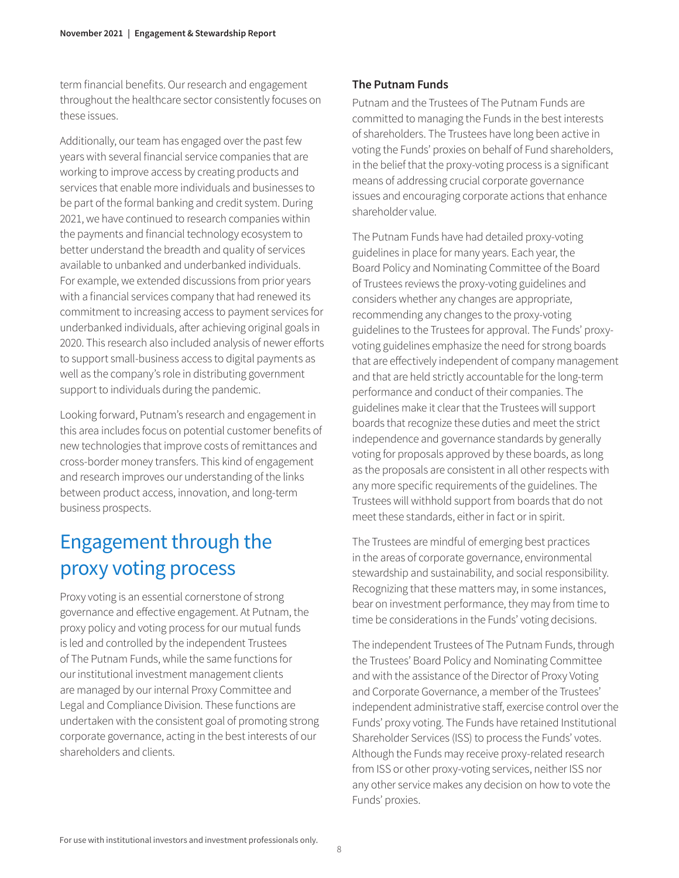term financial benefits. Our research and engagement throughout the healthcare sector consistently focuses on these issues.

Additionally, our team has engaged over the past few years with several financial service companies that are working to improve access by creating products and services that enable more individuals and businesses to be part of the formal banking and credit system. During 2021, we have continued to research companies within the payments and financial technology ecosystem to better understand the breadth and quality of services available to unbanked and underbanked individuals. For example, we extended discussions from prior years with a financial services company that had renewed its commitment to increasing access to payment services for underbanked individuals, after achieving original goals in 2020. This research also included analysis of newer efforts to support small-business access to digital payments as well as the company's role in distributing government support to individuals during the pandemic.

Looking forward, Putnam's research and engagement in this area includes focus on potential customer benefits of new technologies that improve costs of remittances and cross-border money transfers. This kind of engagement and research improves our understanding of the links between product access, innovation, and long-term business prospects.

# Engagement through the proxy voting process

Proxy voting is an essential cornerstone of strong governance and effective engagement. At Putnam, the proxy policy and voting process for our mutual funds is led and controlled by the independent Trustees of The Putnam Funds, while the same functions for our institutional investment management clients are managed by our internal Proxy Committee and Legal and Compliance Division. These functions are undertaken with the consistent goal of promoting strong corporate governance, acting in the best interests of our shareholders and clients.

#### **The Putnam Funds**

Putnam and the Trustees of The Putnam Funds are committed to managing the Funds in the best interests of shareholders. The Trustees have long been active in voting the Funds' proxies on behalf of Fund shareholders, in the belief that the proxy-voting process is a significant means of addressing crucial corporate governance issues and encouraging corporate actions that enhance shareholder value.

The Putnam Funds have had detailed proxy-voting guidelines in place for many years. Each year, the Board Policy and Nominating Committee of the Board of Trustees reviews the proxy-voting guidelines and considers whether any changes are appropriate, recommending any changes to the proxy-voting guidelines to the Trustees for approval. The Funds' proxyvoting guidelines emphasize the need for strong boards that are effectively independent of company management and that are held strictly accountable for the long-term performance and conduct of their companies. The guidelines make it clear that the Trustees will support boards that recognize these duties and meet the strict independence and governance standards by generally voting for proposals approved by these boards, as long as the proposals are consistent in all other respects with any more specific requirements of the guidelines. The Trustees will withhold support from boards that do not meet these standards, either in fact or in spirit.

The Trustees are mindful of emerging best practices in the areas of corporate governance, environmental stewardship and sustainability, and social responsibility. Recognizing that these matters may, in some instances, bear on investment performance, they may from time to time be considerations in the Funds' voting decisions.

The independent Trustees of The Putnam Funds, through the Trustees' Board Policy and Nominating Committee and with the assistance of the Director of Proxy Voting and Corporate Governance, a member of the Trustees' independent administrative staff, exercise control over the Funds' proxy voting. The Funds have retained Institutional Shareholder Services (ISS) to process the Funds' votes. Although the Funds may receive proxy-related research from ISS or other proxy-voting services, neither ISS nor any other service makes any decision on how to vote the Funds' proxies.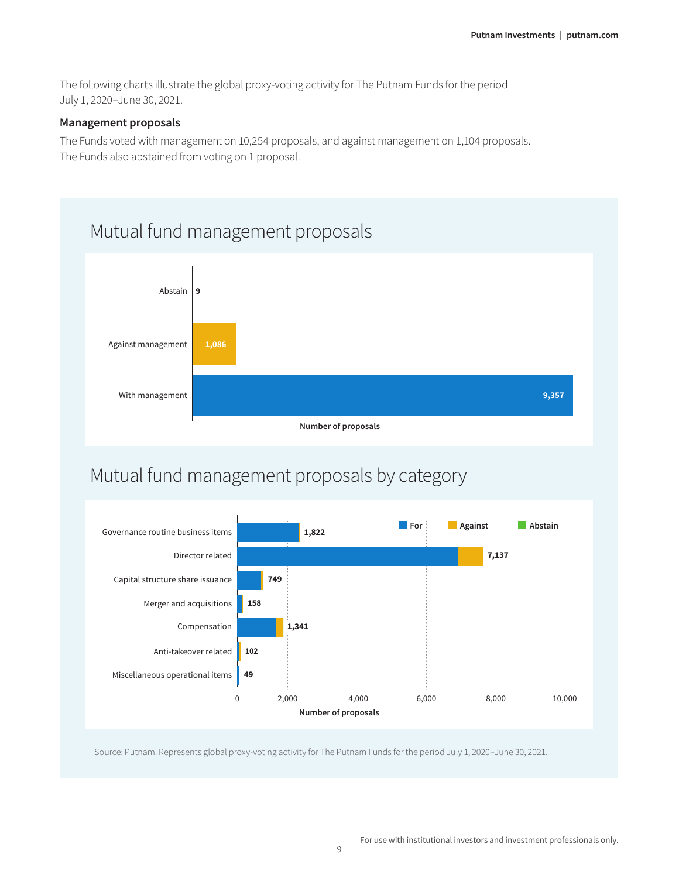The following charts illustrate the global proxy-voting activity for The Putnam Funds for the period July 1, 2020–June 30, 2021.

#### **Management proposals**

The Funds voted with management on 10,254 proposals, and against management on 1,104 proposals. The Funds also abstained from voting on 1 proposal.



# Mutual fund management proposals by category



Source: Putnam. Represents global proxy-voting activity for The Putnam Funds for the period July 1, 2020–June 30, 2021.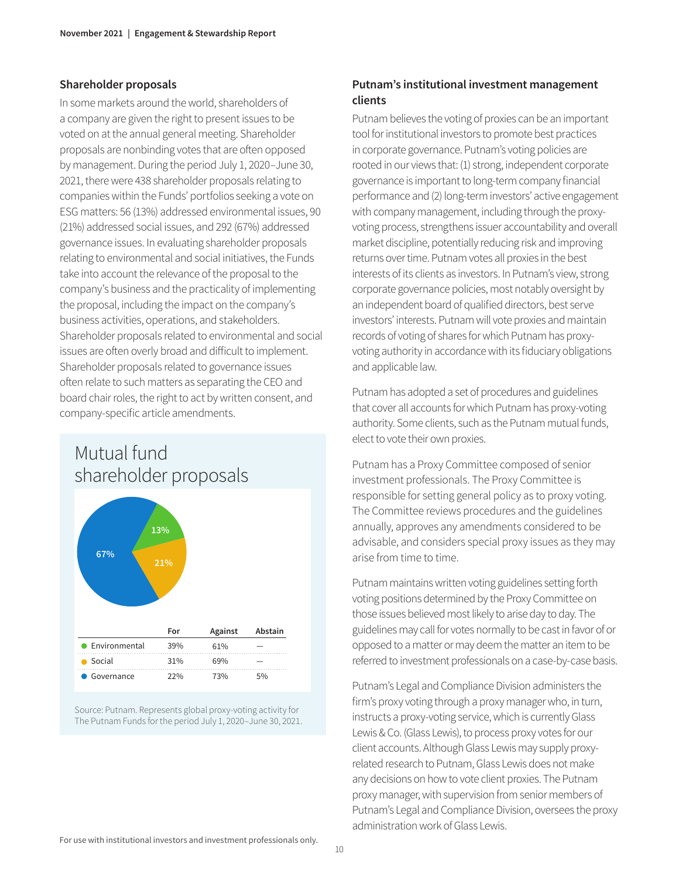#### **Shareholder proposals**

In some markets around the world, shareholders of a company are given the right to present issues to be voted on at the annual general meeting. Shareholder proposals are nonbinding votes that are often opposed by management. During the period July 1, 2020–June 30, 2021, there were 438 shareholder proposals relating to companies within the Funds' portfolios seeking a vote on ESG matters: 56 (13%) addressed environmental issues, 90 (21%) addressed social issues, and 292 (67%) addressed governance issues. In evaluating shareholder proposals relating to environmental and social initiatives, the Funds take into account the relevance of the proposal to the company's business and the practicality of implementing the proposal, including the impact on the company's business activities, operations, and stakeholders. Shareholder proposals related to environmental and social issues are often overly broad and difficult to implement. Shareholder proposals related to governance issues often relate to such matters as separating the CEO and board chair roles, the right to act by written consent, and company-specific article amendments.



Source: Putnam. Represents global proxy-voting activity for The Putnam Funds for the period July 1, 2020–June 30, 2021.

#### **Putnam's institutional investment management clients**

Putnam believes the voting of proxies can be an important tool for institutional investors to promote best practices in corporate governance. Putnam's voting policies are rooted in our views that: (1) strong, independent corporate governance is important to long-term company financial performance and (2) long-term investors' active engagement with company management, including through the proxyvoting process, strengthens issuer accountability and overall market discipline, potentially reducing risk and improving returns over time. Putnam votes all proxies in the best interests of its clients as investors. In Putnam's view, strong corporate governance policies, most notably oversight by an independent board of qualified directors, best serve investors' interests. Putnam will vote proxies and maintain records of voting of shares for which Putnam has proxyvoting authority in accordance with its fiduciary obligations and applicable law.

Putnam has adopted a set of procedures and guidelines that cover all accounts for which Putnam has proxy-voting authority. Some clients, such as the Putnam mutual funds, elect to vote their own proxies.

Putnam has a Proxy Committee composed of senior investment professionals. The Proxy Committee is responsible for setting general policy as to proxy voting. The Committee reviews procedures and the guidelines annually, approves any amendments considered to be advisable, and considers special proxy issues as they may arise from time to time.

Putnam maintains written voting guidelines setting forth voting positions determined by the Proxy Committee on those issues believed most likely to arise day to day. The guidelines may call for votes normally to be cast in favor of or opposed to a matter or may deem the matter an item to be referred to investment professionals on a case-by-case basis.

Putnam's Legal and Compliance Division administers the firm's proxy voting through a proxy manager who, in turn, instructs a proxy-voting service, which is currently Glass Lewis & Co. (Glass Lewis), to process proxy votes for our client accounts. Although Glass Lewis may supply proxyrelated research to Putnam, Glass Lewis does not make any decisions on how to vote client proxies. The Putnam proxy manager, with supervision from senior members of Putnam's Legal and Compliance Division, oversees the proxy administration work of Glass Lewis.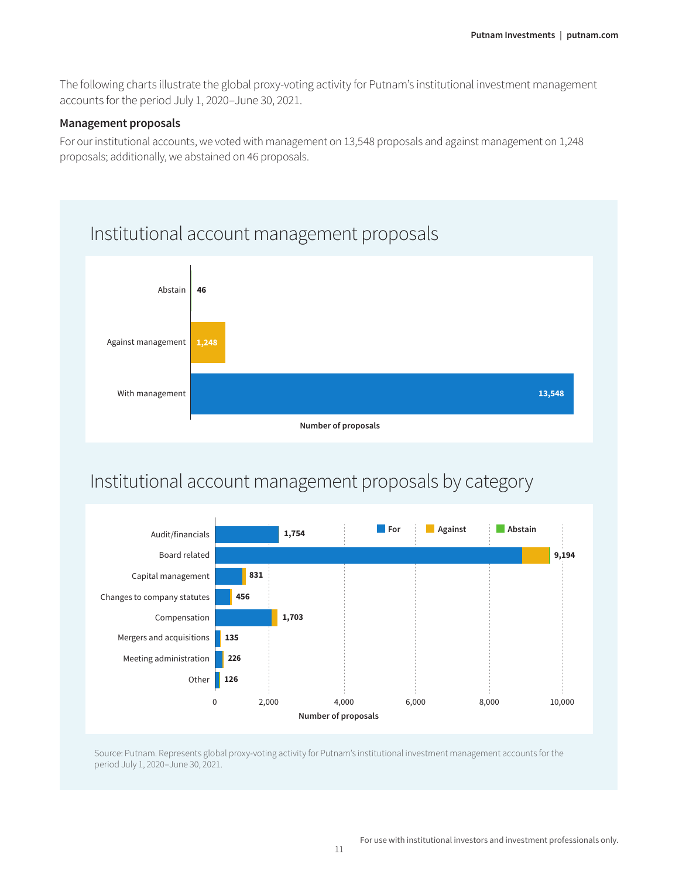The following charts illustrate the global proxy-voting activity for Putnam's institutional investment management accounts for the period July 1, 2020–June 30, 2021.

#### **Management proposals**

For our institutional accounts, we voted with management on 13,548 proposals and against management on 1,248 proposals; additionally, we abstained on 46 proposals.



## Institutional account management proposals by category



Source: Putnam. Represents global proxy-voting activity for Putnam's institutional investment management accounts for the period July 1, 2020–June 30, 2021.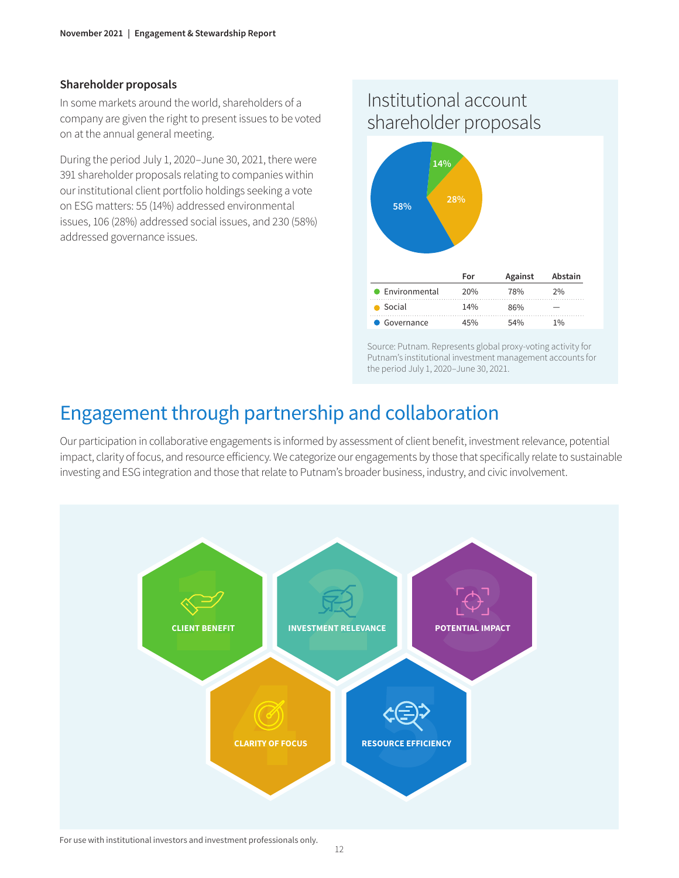#### **Shareholder proposals**

In some markets around the world, shareholders of a company are given the right to present issues to be voted on at the annual general meeting.

During the period July 1, 2020–June 30, 2021, there were 391 shareholder proposals relating to companies within our institutional client portfolio holdings seeking a vote on ESG matters: 55 (14%) addressed environmental issues, 106 (28%) addressed social issues, and 230 (58%) addressed governance issues.

### Institutional account shareholder proposals



Source: Putnam. Represents global proxy-voting activity for Putnam's institutional investment management accounts for the period July 1, 2020–June 30, 2021.

### Engagement through partnership and collaboration

Our participation in collaborative engagements is informed by assessment of client benefit, investment relevance, potential impact, clarity of focus, and resource efficiency. We categorize our engagements by those that specifically relate to sustainable investing and ESG integration and those that relate to Putnam's broader business, industry, and civic involvement.



#### For use with institutional investors and investment professionals only.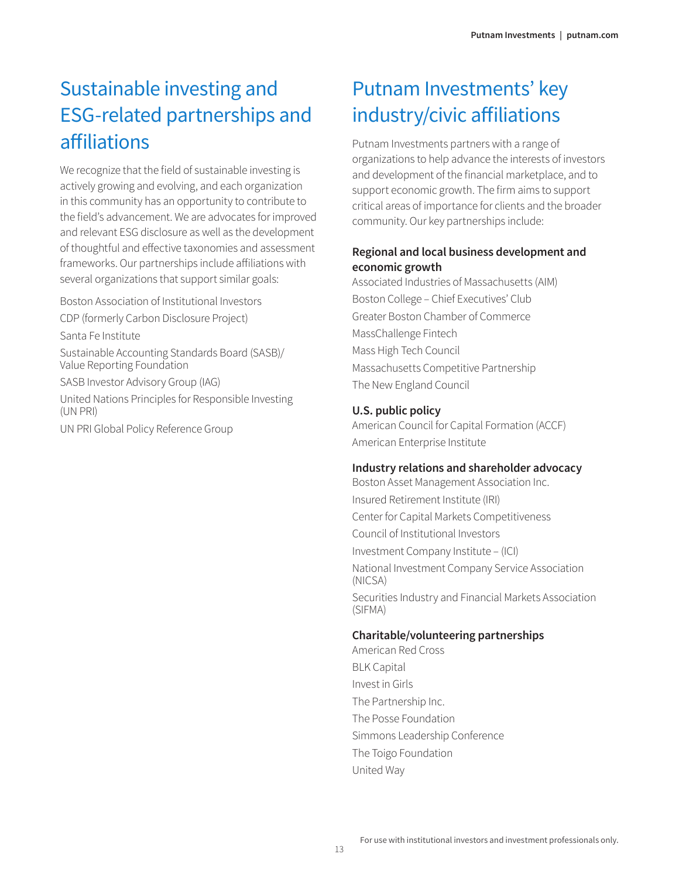# Sustainable investing and ESG-related partnerships and affiliations

We recognize that the field of sustainable investing is actively growing and evolving, and each organization in this community has an opportunity to contribute to the field's advancement. We are advocates for improved and relevant ESG disclosure as well as the development of thoughtful and effective taxonomies and assessment frameworks. Our partnerships include affiliations with several organizations that support similar goals:

Boston Association of Institutional Investors

CDP (formerly Carbon Disclosure Project)

Santa Fe Institute

Sustainable Accounting Standards Board (SASB)/ Value Reporting Foundation

SASB Investor Advisory Group (IAG)

United Nations Principles for Responsible Investing (UN PRI)

UN PRI Global Policy Reference Group

# Putnam Investments' key industry/civic affiliations

Putnam Investments partners with a range of organizations to help advance the interests of investors and development of the financial marketplace, and to support economic growth. The firm aims to support critical areas of importance for clients and the broader community. Our key partnerships include:

#### **Regional and local business development and economic growth**

Associated Industries of Massachusetts (AIM) Boston College – Chief Executives' Club Greater Boston Chamber of Commerce MassChallenge Fintech Mass High Tech Council Massachusetts Competitive Partnership The New England Council

#### **U.S. public policy**

American Council for Capital Formation (ACCF) American Enterprise Institute

#### **Industry relations and shareholder advocacy**

Boston Asset Management Association Inc. Insured Retirement Institute (IRI) Center for Capital Markets Competitiveness Council of Institutional Investors Investment Company Institute – (ICI) National Investment Company Service Association (NICSA) Securities Industry and Financial Markets Association (SIFMA)

#### **Charitable/volunteering partnerships**

American Red Cross BLK Capital Invest in Girls The Partnership Inc. The Posse Foundation Simmons Leadership Conference The Toigo Foundation United Way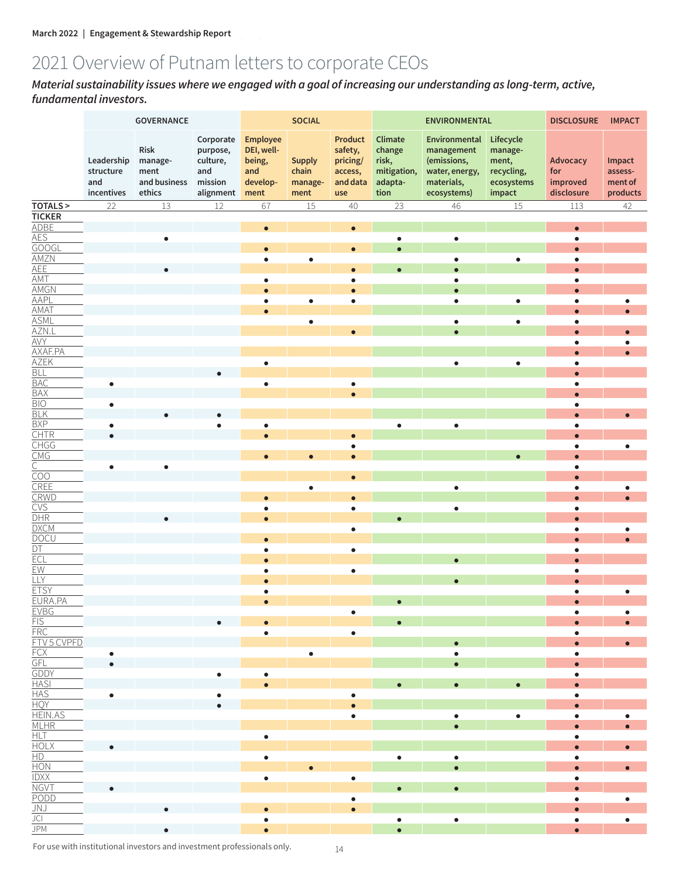# 2021 Overview of Putnam letters to corporate CEOs

*Material sustainability issues where we engaged with a goal of increasing our understanding as long-term, active, fundamental investors.*

|                                                                               | GOVERNANCE                                   |                                                   |                                                                  |                                                                    | <b>SOCIAL</b>                             |                                                                     |                                                              | <b>ENVIRONMENTAL</b>                                                                      |                                                                     | <b>DISCLOSURE</b>                         | <b>IMPACT</b>                            |
|-------------------------------------------------------------------------------|----------------------------------------------|---------------------------------------------------|------------------------------------------------------------------|--------------------------------------------------------------------|-------------------------------------------|---------------------------------------------------------------------|--------------------------------------------------------------|-------------------------------------------------------------------------------------------|---------------------------------------------------------------------|-------------------------------------------|------------------------------------------|
|                                                                               | Leadership<br>structure<br>and<br>incentives | Risk<br>manage-<br>ment<br>and business<br>ethics | Corporate<br>purpose,<br>culture,<br>and<br>mission<br>alignment | <b>Employee</b><br>DEI, well-<br>being,<br>and<br>develop-<br>ment | <b>Supply</b><br>chain<br>manage-<br>ment | <b>Product</b><br>safety,<br>pricing/<br>access,<br>and data<br>use | Climate<br>change<br>risk,<br>mitigation,<br>adapta-<br>tion | Environmental<br>management<br>(emissions,<br>water, energy,<br>materials,<br>ecosystems) | Lifecycle<br>manage-<br>ment,<br>recycling,<br>ecosystems<br>impact | Advocacy<br>for<br>improved<br>disclosure | Impact<br>assess-<br>ment of<br>products |
| <b>TOTALS &gt;</b>                                                            | 22                                           | 13                                                | 12                                                               | 67                                                                 | 15                                        | 40                                                                  | 23                                                           | 46                                                                                        | $15\,$                                                              | 113                                       | 42                                       |
| <b>TICKER</b>                                                                 |                                              |                                                   |                                                                  |                                                                    |                                           |                                                                     |                                                              |                                                                                           |                                                                     |                                           |                                          |
| <b>ADBE</b>                                                                   |                                              | $\bullet$                                         |                                                                  | $\bullet$                                                          |                                           |                                                                     | $\bullet$                                                    | $\bullet$                                                                                 |                                                                     | $\bullet$<br>$\bullet$                    |                                          |
| AES<br>GOOGL                                                                  |                                              |                                                   |                                                                  | $\bullet$                                                          |                                           | $\bullet$                                                           | $\bullet$                                                    |                                                                                           |                                                                     | $\bullet$                                 |                                          |
| AMZN<br>AEE                                                                   |                                              |                                                   |                                                                  | $\bullet$                                                          | $\bullet$                                 |                                                                     |                                                              | $\bullet$                                                                                 | $\bullet$                                                           | $\bullet$                                 |                                          |
|                                                                               |                                              | $\bullet$                                         |                                                                  |                                                                    |                                           | $\bullet$                                                           |                                                              | $\bullet$                                                                                 |                                                                     | $\bullet$                                 |                                          |
| AMT<br>AMGN                                                                   |                                              |                                                   |                                                                  | $\bullet$                                                          |                                           | $\bullet$                                                           |                                                              | $\bullet$                                                                                 |                                                                     | $\bullet$                                 |                                          |
| <b>AAPL</b>                                                                   |                                              |                                                   |                                                                  | $\bullet$<br>$\bullet$                                             | $\bullet$                                 | $\bullet$                                                           |                                                              | $\bullet$<br>$\bullet$                                                                    | $\bullet$                                                           | $\bullet$<br>$\bullet$                    |                                          |
|                                                                               |                                              |                                                   |                                                                  | $\bullet$                                                          |                                           |                                                                     |                                                              |                                                                                           |                                                                     |                                           | $\bullet$<br>$\bullet$                   |
| AMAT<br>ASML                                                                  |                                              |                                                   |                                                                  |                                                                    | $\bullet$                                 |                                                                     |                                                              | $\bullet$                                                                                 | $\bullet$                                                           | $\bullet$                                 |                                          |
| $\frac{\overline{AZN.L}}{\overline{AVY}}$                                     |                                              |                                                   |                                                                  |                                                                    |                                           |                                                                     |                                                              | $\bullet$                                                                                 |                                                                     | $\bullet$                                 | $\bullet$                                |
|                                                                               |                                              |                                                   |                                                                  |                                                                    |                                           |                                                                     |                                                              |                                                                                           |                                                                     | $\bullet$                                 | ٠                                        |
| AXAF.PA                                                                       |                                              |                                                   |                                                                  |                                                                    |                                           |                                                                     |                                                              |                                                                                           |                                                                     |                                           |                                          |
| <b>AZEK</b>                                                                   |                                              |                                                   |                                                                  | $\bullet$                                                          |                                           |                                                                     |                                                              | $\bullet$                                                                                 | $\bullet$                                                           | $\bullet$                                 |                                          |
| BLL<br>BAC<br>BAX<br>BLK<br>BLK<br>CHTR<br>CHG<br>COO<br>CREE<br>COO<br>CREE  | $\bullet$                                    |                                                   |                                                                  | $\bullet$                                                          |                                           |                                                                     |                                                              |                                                                                           |                                                                     | ٠                                         |                                          |
|                                                                               |                                              |                                                   |                                                                  |                                                                    |                                           |                                                                     |                                                              |                                                                                           |                                                                     |                                           |                                          |
|                                                                               | $\bullet$                                    |                                                   |                                                                  |                                                                    |                                           |                                                                     |                                                              |                                                                                           |                                                                     | $\bullet$                                 |                                          |
|                                                                               |                                              |                                                   |                                                                  |                                                                    |                                           |                                                                     |                                                              |                                                                                           |                                                                     |                                           | $\bullet$                                |
|                                                                               | $\bullet$                                    |                                                   | $\bullet$                                                        | $\bullet$                                                          |                                           |                                                                     | $\bullet$                                                    | $\bullet$                                                                                 |                                                                     | $\bullet$                                 |                                          |
|                                                                               | $\bullet$                                    |                                                   |                                                                  | $\bullet$                                                          |                                           |                                                                     |                                                              |                                                                                           |                                                                     | -                                         |                                          |
|                                                                               |                                              |                                                   |                                                                  | $\bullet$                                                          | $\bullet$                                 |                                                                     |                                                              |                                                                                           |                                                                     | $\bullet$                                 | $\bullet$                                |
|                                                                               | $\bullet$                                    | $\bullet$                                         |                                                                  |                                                                    |                                           |                                                                     |                                                              |                                                                                           |                                                                     | $\bullet$                                 |                                          |
|                                                                               |                                              |                                                   |                                                                  |                                                                    |                                           |                                                                     |                                                              |                                                                                           |                                                                     | $\bullet$                                 |                                          |
|                                                                               |                                              |                                                   |                                                                  |                                                                    | $\bullet$                                 |                                                                     |                                                              | $\bullet$                                                                                 |                                                                     | $\bullet$                                 | $\bullet$                                |
| CRWD<br>CVS                                                                   |                                              |                                                   |                                                                  | $\bullet$                                                          |                                           |                                                                     |                                                              |                                                                                           |                                                                     |                                           |                                          |
|                                                                               |                                              |                                                   |                                                                  | $\bullet$                                                          |                                           | $\bullet$                                                           |                                                              | $\bullet$                                                                                 |                                                                     | $\bullet$                                 |                                          |
| $\frac{\overline{\text{DHR}}}{\text{DXCM}}$                                   |                                              |                                                   |                                                                  | $\bullet$                                                          |                                           | $\bullet$                                                           |                                                              |                                                                                           |                                                                     | $\bullet$<br>$\bullet$                    | $\bullet$                                |
|                                                                               |                                              |                                                   |                                                                  | $\bullet$                                                          |                                           |                                                                     |                                                              |                                                                                           |                                                                     |                                           |                                          |
| DOCU<br>DT<br>ECL<br>EW<br>LLY                                                |                                              |                                                   |                                                                  | $\bullet$                                                          |                                           | $\bullet$                                                           |                                                              |                                                                                           |                                                                     | ٠                                         |                                          |
|                                                                               |                                              |                                                   |                                                                  | $\overline{\phantom{a}}$                                           |                                           |                                                                     |                                                              |                                                                                           |                                                                     |                                           |                                          |
|                                                                               |                                              |                                                   |                                                                  | $\bullet$                                                          |                                           | $\bullet$                                                           |                                                              |                                                                                           |                                                                     | ۰                                         |                                          |
|                                                                               |                                              |                                                   |                                                                  |                                                                    |                                           |                                                                     |                                                              |                                                                                           |                                                                     |                                           |                                          |
| <b>ETSY</b><br>EURA.PA                                                        |                                              |                                                   |                                                                  | $\bullet$<br>$\bullet$                                             |                                           |                                                                     | $\bullet$                                                    |                                                                                           |                                                                     | $\bullet$<br>$\bullet$                    | $\bullet$                                |
|                                                                               |                                              |                                                   |                                                                  |                                                                    |                                           | ٠                                                                   |                                                              |                                                                                           |                                                                     | ٠                                         | ٠                                        |
| EVBG<br>FIS<br>FRC                                                            |                                              |                                                   | $\bullet$                                                        | $\bullet$                                                          |                                           |                                                                     |                                                              |                                                                                           |                                                                     |                                           | $\bullet$                                |
|                                                                               |                                              |                                                   |                                                                  | $\bullet$                                                          |                                           | $\bullet$                                                           |                                                              |                                                                                           |                                                                     | $\bullet$                                 |                                          |
| FTV5 CVPFD                                                                    |                                              |                                                   |                                                                  |                                                                    |                                           |                                                                     |                                                              |                                                                                           |                                                                     |                                           | $\bullet$                                |
|                                                                               | $\bullet$<br>$\bullet$                       |                                                   |                                                                  |                                                                    | $\bullet$                                 |                                                                     |                                                              | ٠                                                                                         |                                                                     | $\bullet$                                 |                                          |
|                                                                               |                                              |                                                   | $\bullet$                                                        | $\bullet$                                                          |                                           |                                                                     |                                                              |                                                                                           |                                                                     | $\bullet$                                 |                                          |
|                                                                               |                                              |                                                   |                                                                  | $\bullet$                                                          |                                           |                                                                     |                                                              |                                                                                           |                                                                     |                                           |                                          |
|                                                                               | $\bullet$                                    |                                                   | $\bullet$                                                        |                                                                    |                                           |                                                                     |                                                              |                                                                                           |                                                                     |                                           |                                          |
|                                                                               |                                              |                                                   |                                                                  |                                                                    |                                           |                                                                     |                                                              |                                                                                           |                                                                     |                                           |                                          |
| <u>FLYSUV</u><br>FCX<br>GEL<br>GDDY<br>HAS<br>HAS<br>HULAS<br>HILLAS<br>MULAS |                                              |                                                   |                                                                  |                                                                    |                                           | ٠                                                                   |                                                              | $\bullet$                                                                                 | $\bullet$                                                           | $\bullet$                                 | ٠                                        |
|                                                                               |                                              |                                                   |                                                                  |                                                                    |                                           |                                                                     |                                                              |                                                                                           |                                                                     |                                           |                                          |
| $\frac{\frac{\text{MLHR}}{\text{MLHR}}}{\frac{\text{HLT}}{\text{HOLX}}}\n$    |                                              |                                                   |                                                                  | $\bullet$                                                          |                                           |                                                                     |                                                              |                                                                                           |                                                                     | $\bullet$                                 | $\bullet$                                |
|                                                                               | $\bullet$                                    |                                                   |                                                                  | $\bullet$                                                          |                                           |                                                                     | ė                                                            | $\bullet$                                                                                 |                                                                     | $\bullet$                                 |                                          |
| $\frac{HD}{HON}$                                                              |                                              |                                                   |                                                                  |                                                                    |                                           |                                                                     |                                                              |                                                                                           |                                                                     |                                           | $\bullet$                                |
| $\frac{\overline{IDXX}}{\overline{NGVT}}$                                     |                                              |                                                   |                                                                  | $\bullet$                                                          |                                           | $\bullet$                                                           |                                                              |                                                                                           |                                                                     | $\bullet$                                 |                                          |
|                                                                               | $\bullet$                                    |                                                   |                                                                  |                                                                    |                                           |                                                                     | $\bullet$                                                    | $\bullet$                                                                                 |                                                                     |                                           |                                          |
|                                                                               |                                              |                                                   |                                                                  |                                                                    |                                           | ٠                                                                   |                                                              |                                                                                           |                                                                     | $\bullet$                                 | $\bullet$                                |
|                                                                               |                                              | $\bullet$                                         |                                                                  | $\bullet$                                                          |                                           | $\bullet$                                                           |                                                              |                                                                                           |                                                                     |                                           |                                          |
| <b>PODD</b><br>JNJ<br>JCI<br>JPM                                              |                                              | $\bullet$                                         |                                                                  | $\bullet$<br>$\bullet$                                             |                                           |                                                                     | $\bullet$<br>$\bullet$                                       | $\bullet$                                                                                 |                                                                     | $\bullet$<br>$\bullet$                    | $\bullet$                                |
|                                                                               |                                              |                                                   |                                                                  |                                                                    |                                           |                                                                     |                                                              |                                                                                           |                                                                     |                                           |                                          |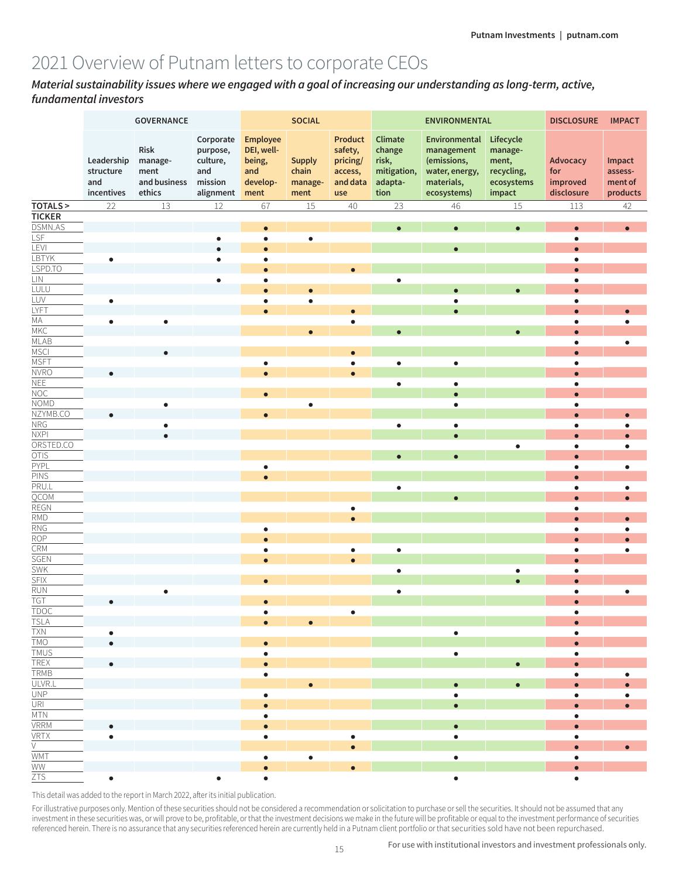# 2021 Overview of Putnam letters to corporate CEOs

*Material sustainability issues where we engaged with a goal of increasing our understanding as long-term, active, fundamental investors*

|                                                                   | GOVERNANCE                                   |                                                   |                                                                  |                                                                    | <b>SOCIAL</b>                             |                                                              |                                                              | <b>ENVIRONMENTAL</b>                                                                      |                                                                     | <b>DISCLOSURE</b><br><b>IMPACT</b>        |                                          |  |
|-------------------------------------------------------------------|----------------------------------------------|---------------------------------------------------|------------------------------------------------------------------|--------------------------------------------------------------------|-------------------------------------------|--------------------------------------------------------------|--------------------------------------------------------------|-------------------------------------------------------------------------------------------|---------------------------------------------------------------------|-------------------------------------------|------------------------------------------|--|
|                                                                   | Leadership<br>structure<br>and<br>incentives | Risk<br>manage-<br>ment<br>and business<br>ethics | Corporate<br>purpose,<br>culture,<br>and<br>mission<br>alignment | <b>Employee</b><br>DEI, well-<br>being,<br>and<br>develop-<br>ment | <b>Supply</b><br>chain<br>manage-<br>ment | Product<br>safety,<br>pricing/<br>access,<br>and data<br>use | Climate<br>change<br>risk,<br>mitigation,<br>adapta-<br>tion | Environmental<br>management<br>(emissions,<br>water, energy,<br>materials,<br>ecosystems) | Lifecycle<br>manage-<br>ment,<br>recycling,<br>ecosystems<br>impact | Advocacy<br>for<br>improved<br>disclosure | Impact<br>assess-<br>ment of<br>products |  |
| TOTALS >                                                          | 22                                           | 13                                                | 12                                                               | 67                                                                 | $15\,$                                    | 40                                                           | 23                                                           | 46                                                                                        | $15\,$                                                              | 113                                       | 42                                       |  |
| <b>TICKER</b>                                                     |                                              |                                                   |                                                                  |                                                                    |                                           |                                                              |                                                              |                                                                                           |                                                                     |                                           |                                          |  |
| DSMN.AS                                                           |                                              |                                                   |                                                                  | $\bullet$                                                          |                                           |                                                              | $\bullet$                                                    | $\bullet$                                                                                 | $\bullet$                                                           | $\bullet$                                 | $\bullet$                                |  |
| LSF                                                               |                                              |                                                   | $\bullet$                                                        | $\bullet$                                                          | $\bullet$                                 |                                                              |                                                              |                                                                                           |                                                                     | $\bullet$                                 |                                          |  |
| LEVI                                                              |                                              |                                                   | $\bullet$                                                        | $\bullet$                                                          |                                           |                                                              |                                                              | $\bullet$                                                                                 |                                                                     | $\bullet$                                 |                                          |  |
| LBTYK                                                             | $\bullet$                                    |                                                   | $\bullet$                                                        | $\bullet$                                                          |                                           |                                                              |                                                              |                                                                                           |                                                                     | $\bullet$                                 |                                          |  |
| LSPD.TO                                                           |                                              |                                                   |                                                                  | $\bullet$                                                          |                                           |                                                              |                                                              |                                                                                           |                                                                     |                                           |                                          |  |
| LIN                                                               |                                              |                                                   | $\bullet$                                                        | $\bullet$                                                          |                                           |                                                              | $\bullet$                                                    |                                                                                           |                                                                     | $\bullet$                                 |                                          |  |
| LULU                                                              |                                              |                                                   |                                                                  | $\bullet$                                                          |                                           |                                                              |                                                              |                                                                                           | $\overline{\phantom{0}}$                                            | ò                                         |                                          |  |
| LUV                                                               | $\bullet$                                    |                                                   |                                                                  | $\bullet$                                                          | $\bullet$                                 |                                                              |                                                              | $\bullet$                                                                                 |                                                                     | $\bullet$                                 |                                          |  |
|                                                                   |                                              |                                                   |                                                                  | $\bullet$                                                          |                                           |                                                              |                                                              |                                                                                           |                                                                     |                                           |                                          |  |
| <u>LYFT<br/>MA<br/>MKC<br/>MKC</u>                                | $\bullet$                                    | $\bullet$                                         |                                                                  |                                                                    |                                           | ٠                                                            |                                                              |                                                                                           |                                                                     | $\bullet$                                 |                                          |  |
|                                                                   |                                              |                                                   |                                                                  |                                                                    |                                           |                                                              |                                                              |                                                                                           |                                                                     |                                           |                                          |  |
| MSCI                                                              |                                              |                                                   |                                                                  |                                                                    |                                           |                                                              |                                                              |                                                                                           |                                                                     | ٠                                         | $\bullet$                                |  |
|                                                                   |                                              |                                                   |                                                                  | $\bullet$                                                          |                                           |                                                              | $\bullet$                                                    | $\bullet$                                                                                 |                                                                     | $\bullet$                                 |                                          |  |
| $\frac{\overline{\text{MSFT}}}{\text{NVRO}}$                      |                                              |                                                   |                                                                  | $\bullet$                                                          |                                           |                                                              |                                                              |                                                                                           |                                                                     |                                           |                                          |  |
| NEE                                                               |                                              |                                                   |                                                                  |                                                                    |                                           |                                                              | $\bullet$                                                    | $\bullet$                                                                                 |                                                                     | $\bullet$                                 |                                          |  |
| NOC                                                               |                                              |                                                   |                                                                  | $\bullet$                                                          |                                           |                                                              |                                                              | $\bullet$                                                                                 |                                                                     | $\bullet$                                 |                                          |  |
| <b>NOMD</b>                                                       |                                              | $\bullet$                                         |                                                                  |                                                                    | $\bullet$                                 |                                                              |                                                              | $\bullet$                                                                                 |                                                                     | $\bullet$                                 |                                          |  |
| NZYMB.CO                                                          |                                              |                                                   |                                                                  | $\bullet$                                                          |                                           |                                                              |                                                              |                                                                                           |                                                                     | $\bullet$                                 | $\bullet$                                |  |
| NRG                                                               |                                              | ٠                                                 |                                                                  |                                                                    |                                           |                                                              | $\bullet$                                                    | $\bullet$                                                                                 |                                                                     | $\bullet$                                 | $\bullet$                                |  |
| NXPI                                                              |                                              |                                                   |                                                                  |                                                                    |                                           |                                                              |                                                              |                                                                                           |                                                                     | $\bullet$                                 | $\bullet$                                |  |
| ORSTED.CO                                                         |                                              |                                                   |                                                                  |                                                                    |                                           |                                                              |                                                              |                                                                                           | $\bullet$                                                           | $\bullet$                                 | $\bullet$                                |  |
| <b>OTIS</b><br><u>PYPL<br/> PINS<br/> REGN<br/> REGN<br/> RMD</u> |                                              |                                                   |                                                                  |                                                                    |                                           |                                                              |                                                              |                                                                                           |                                                                     | $\bullet$                                 |                                          |  |
|                                                                   |                                              |                                                   |                                                                  | $\bullet$                                                          |                                           |                                                              |                                                              |                                                                                           |                                                                     | $\bullet$                                 | $\bullet$                                |  |
|                                                                   |                                              |                                                   |                                                                  | $\bullet$                                                          |                                           |                                                              |                                                              |                                                                                           |                                                                     | $\blacksquare$                            |                                          |  |
|                                                                   |                                              |                                                   |                                                                  |                                                                    |                                           |                                                              | $\bullet$                                                    |                                                                                           |                                                                     | $\bullet$                                 | $\bullet$                                |  |
|                                                                   |                                              |                                                   |                                                                  |                                                                    |                                           |                                                              |                                                              |                                                                                           |                                                                     |                                           | $\bullet$                                |  |
|                                                                   |                                              |                                                   |                                                                  |                                                                    |                                           |                                                              |                                                              |                                                                                           |                                                                     | ٠                                         |                                          |  |
|                                                                   |                                              |                                                   |                                                                  |                                                                    |                                           |                                                              |                                                              |                                                                                           |                                                                     |                                           | $\bullet$                                |  |
| $\frac{RNG}{ROP}$                                                 |                                              |                                                   |                                                                  | $\bullet$                                                          |                                           |                                                              |                                                              |                                                                                           |                                                                     | $\bullet$                                 | $\bullet$                                |  |
|                                                                   |                                              |                                                   |                                                                  | $\bullet$                                                          |                                           |                                                              |                                                              |                                                                                           |                                                                     | $\bullet$                                 |                                          |  |
| $\frac{\overline{\text{CRM}}}{\text{SGEN}}$                       |                                              |                                                   |                                                                  | $\bullet$                                                          |                                           | $\bullet$                                                    | $\bullet$                                                    |                                                                                           |                                                                     | $\bullet$                                 | $\bullet$                                |  |
|                                                                   |                                              |                                                   |                                                                  | $\bullet$                                                          |                                           |                                                              |                                                              |                                                                                           |                                                                     |                                           |                                          |  |
| <b>SWK<br/>SFIX<br/>RUN</b>                                       |                                              |                                                   |                                                                  | $\bullet$                                                          |                                           |                                                              | $\bullet$                                                    |                                                                                           | $\bullet$<br>$\bullet$                                              | $\bullet$<br>$\bullet$                    |                                          |  |
|                                                                   |                                              | $\bullet$                                         |                                                                  |                                                                    |                                           |                                                              | $\bullet$                                                    |                                                                                           |                                                                     | $\bullet$                                 | $\bullet$                                |  |
| <b>TGT</b>                                                        | $\bullet$                                    |                                                   |                                                                  | c                                                                  |                                           |                                                              |                                                              |                                                                                           |                                                                     |                                           |                                          |  |
| <b>TDOC</b>                                                       |                                              |                                                   |                                                                  |                                                                    |                                           | ٠                                                            |                                                              |                                                                                           |                                                                     |                                           |                                          |  |
| <b>TSLA</b>                                                       |                                              |                                                   |                                                                  |                                                                    |                                           |                                                              |                                                              |                                                                                           |                                                                     |                                           |                                          |  |
| <b>TXN</b>                                                        | $\bullet$                                    |                                                   |                                                                  |                                                                    |                                           |                                                              |                                                              | $\bullet$                                                                                 |                                                                     | $\bullet$                                 |                                          |  |
| <b>TMO</b>                                                        | $\bullet$                                    |                                                   |                                                                  | $\bullet$                                                          |                                           |                                                              |                                                              |                                                                                           |                                                                     |                                           |                                          |  |
| <b>TMUS</b>                                                       |                                              |                                                   |                                                                  | $\bullet$                                                          |                                           |                                                              |                                                              | $\bullet$                                                                                 |                                                                     |                                           |                                          |  |
| TREX                                                              |                                              |                                                   |                                                                  | $\bullet$                                                          |                                           |                                                              |                                                              |                                                                                           |                                                                     |                                           |                                          |  |
| TRMB                                                              |                                              |                                                   |                                                                  | $\bullet$                                                          |                                           |                                                              |                                                              |                                                                                           |                                                                     |                                           |                                          |  |
| ULVR.L                                                            |                                              |                                                   |                                                                  |                                                                    |                                           |                                                              |                                                              |                                                                                           |                                                                     |                                           |                                          |  |
| $UNP$                                                             |                                              |                                                   |                                                                  | $\bullet$                                                          |                                           |                                                              |                                                              | $\bullet$                                                                                 |                                                                     | $\bullet$                                 |                                          |  |
| URI                                                               |                                              |                                                   |                                                                  | $\bullet$                                                          |                                           |                                                              |                                                              |                                                                                           |                                                                     |                                           |                                          |  |
| MTN                                                               |                                              |                                                   |                                                                  | $\bullet$                                                          |                                           |                                                              |                                                              |                                                                                           |                                                                     | $\bullet$                                 |                                          |  |
| <b>VRRM</b>                                                       | $\bullet$                                    |                                                   |                                                                  | $\bullet$                                                          |                                           |                                                              |                                                              | $\bullet$                                                                                 |                                                                     |                                           |                                          |  |
| $\frac{\overline{\text{VRTX}}}{\text{V}}$                         | $\bullet$                                    |                                                   |                                                                  | $\bullet$                                                          |                                           | ٠                                                            |                                                              | $\bullet$                                                                                 |                                                                     | $\bullet$                                 |                                          |  |
|                                                                   |                                              |                                                   |                                                                  |                                                                    |                                           |                                                              |                                                              |                                                                                           |                                                                     |                                           | $\bullet$                                |  |
| <b>WMT</b>                                                        |                                              |                                                   |                                                                  | $\bullet$                                                          | $\bullet$                                 |                                                              |                                                              | $\bullet$                                                                                 |                                                                     | $\bullet$                                 |                                          |  |
| WW                                                                |                                              |                                                   |                                                                  |                                                                    |                                           |                                                              |                                                              |                                                                                           |                                                                     | $\bullet$                                 |                                          |  |
| ZTS                                                               | $\bullet$                                    |                                                   | $\bullet$                                                        | $\bullet$                                                          |                                           |                                                              |                                                              | $\bullet$                                                                                 |                                                                     | $\bullet$                                 |                                          |  |

This detail was added to the report in March 2022, after its initial publication.

For illustrative purposes only. Mention of these securities should not be considered a recommendation or solicitation to purchase or sell the securities. It should not be assumed that any investment in these securities was, or will prove to be, profitable, or that the investment decisions we make in the future will be profitable or equal to the investment performance of securities referenced herein. There is no assurance that any securities referenced herein are currently held in a Putnam client portfolio or that securities sold have not been repurchased.